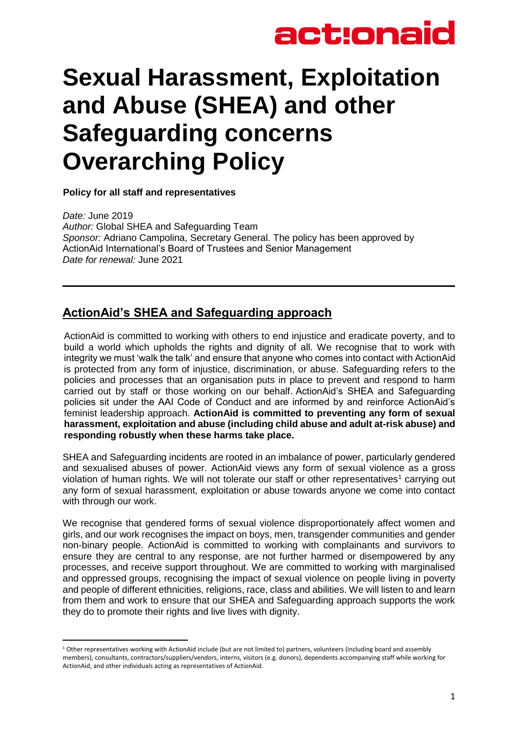## **Sexual Harassment, Exploitation and Abuse (SHEA) and other Safeguarding concerns Overarching Policy**

**Policy for all staff and representatives** 

*Date:* June 2019 *Author:* Global SHEA and Safeguarding Team *Sponsor:* Adriano Campolina, Secretary General. The policy has been approved by ActionAid International's Board of Trustees and Senior Management *Date for renewal:* June 2021

## **ActionAid's SHEA and Safeguarding approach**

ActionAid is committed to working with others to end injustice and eradicate poverty, and to build a world which upholds the rights and dignity of all. We recognise that to work with integrity we must 'walk the talk' and ensure that anyone who comes into contact with ActionAid is protected from any form of injustice, discrimination, or abuse. Safeguarding refers to the policies and processes that an organisation puts in place to prevent and respond to harm carried out by staff or those working on our behalf. ActionAid's SHEA and Safeguarding policies sit under the AAI Code of Conduct and are informed by and reinforce ActionAid's feminist leadership approach. **ActionAid is committed to preventing any form of sexual harassment, exploitation and abuse (including child abuse and adult at-risk abuse) and responding robustly when these harms take place.**

SHEA and Safeguarding incidents are rooted in an imbalance of power, particularly gendered and sexualised abuses of power. ActionAid views any form of sexual violence as a gross violation of human rights. We will not tolerate our staff or other representatives<sup>1</sup> carrying out any form of sexual harassment, exploitation or abuse towards anyone we come into contact with through our work.

We recognise that gendered forms of sexual violence disproportionately affect women and girls, and our work recognises the impact on boys, men, transgender communities and gender non-binary people. ActionAid is committed to working with complainants and survivors to ensure they are central to any response, are not further harmed or disempowered by any processes, and receive support throughout. We are committed to working with marginalised and oppressed groups, recognising the impact of sexual violence on people living in poverty and people of different ethnicities, religions, race, class and abilities. We will listen to and learn from them and work to ensure that our SHEA and Safeguarding approach supports the work they do to promote their rights and live lives with dignity.

**<sup>.</sup>** <sup>1</sup> Other representatives working with ActionAid include (but are not limited to) partners, volunteers (including board and assembly members), consultants, contractors/suppliers/vendors, interns, visitors (e.g. donors), dependents accompanying staff while working for ActionAid, and other individuals acting as representatives of ActionAid.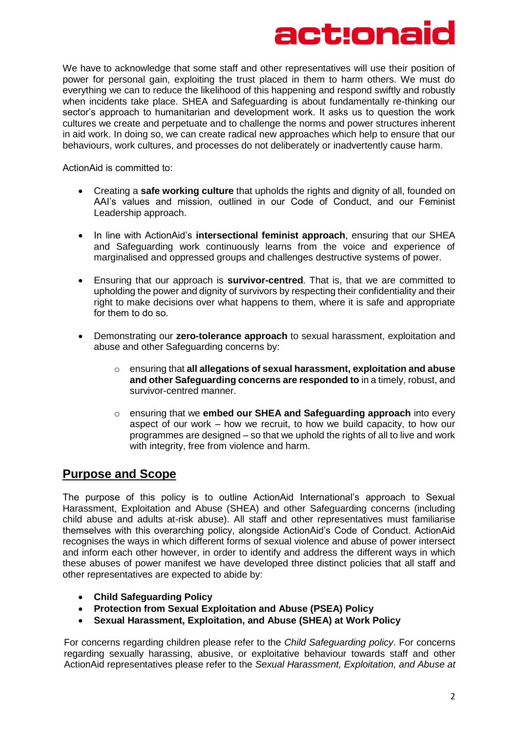## act:ona

We have to acknowledge that some staff and other representatives will use their position of power for personal gain, exploiting the trust placed in them to harm others. We must do everything we can to reduce the likelihood of this happening and respond swiftly and robustly when incidents take place. SHEA and Safeguarding is about fundamentally re-thinking our sector's approach to humanitarian and development work. It asks us to question the work cultures we create and perpetuate and to challenge the norms and power structures inherent in aid work. In doing so, we can create radical new approaches which help to ensure that our behaviours, work cultures, and processes do not deliberately or inadvertently cause harm.

ActionAid is committed to: 

- Creating a **safe working culture** that upholds the rights and dignity of all, founded on AAI's values and mission, outlined in our Code of Conduct, and our Feminist Leadership approach.
- In line with ActionAid's **intersectional feminist approach**, ensuring that our SHEA and Safeguarding work continuously learns from the voice and experience of marginalised and oppressed groups and challenges destructive systems of power.
- Ensuring that our approach is **survivor-centred**. That is, that we are committed to upholding the power and dignity of survivors by respecting their confidentiality and their right to make decisions over what happens to them, where it is safe and appropriate for them to do so.
- Demonstrating our **zero-tolerance approach** to sexual harassment, exploitation and abuse and other Safeguarding concerns by:
	- o ensuring that **all allegations of sexual harassment, exploitation and abuse and other Safeguarding concerns are responded to** in a timely, robust, and survivor-centred manner.
	- o ensuring that we **embed our SHEA and Safeguarding approach** into every aspect of our work – how we recruit, to how we build capacity, to how our programmes are designed – so that we uphold the rights of all to live and work with integrity, free from violence and harm.

### **Purpose and Scope**

The purpose of this policy is to outline ActionAid International's approach to Sexual Harassment, Exploitation and Abuse (SHEA) and other Safeguarding concerns (including child abuse and adults at-risk abuse). All staff and other representatives must familiarise themselves with this overarching policy, alongside ActionAid's Code of Conduct. ActionAid recognises the ways in which different forms of sexual violence and abuse of power intersect and inform each other however, in order to identify and address the different ways in which these abuses of power manifest we have developed three distinct policies that all staff and other representatives are expected to abide by:

- **Child Safeguarding Policy**
- **Protection from Sexual Exploitation and Abuse (PSEA) Policy**
- **Sexual Harassment, Exploitation, and Abuse (SHEA) at Work Policy**

For concerns regarding children please refer to the *Child Safeguarding policy*. For concerns regarding sexually harassing, abusive, or exploitative behaviour towards staff and other ActionAid representatives please refer to the *Sexual Harassment, Exploitation, and Abuse at*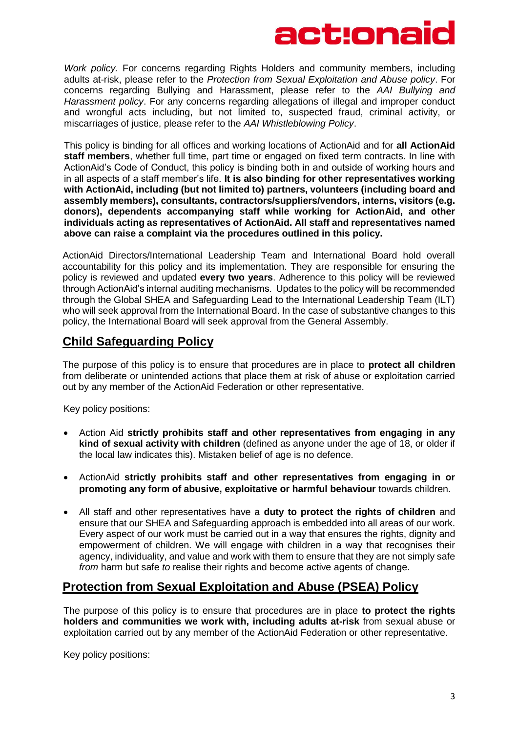*Work policy.* For concerns regarding Rights Holders and community members, including adults at-risk, please refer to the *Protection from Sexual Exploitation and Abuse policy*. For concerns regarding Bullying and Harassment, please refer to the *AAI Bullying and Harassment policy*. For any concerns regarding allegations of illegal and improper conduct and wrongful acts including, but not limited to, suspected fraud, criminal activity, or miscarriages of justice, please refer to the *AAI Whistleblowing Policy*.

This policy is binding for all offices and working locations of ActionAid and for **all ActionAid staff members**, whether full time, part time or engaged on fixed term contracts. In line with ActionAid's Code of Conduct, this policy is binding both in and outside of working hours and in all aspects of a staff member's life. **It is also binding for other representatives working with ActionAid, including (but not limited to) partners, volunteers (including board and assembly members), consultants, contractors/suppliers/vendors, interns, visitors (e.g. donors), dependents accompanying staff while working for ActionAid, and other individuals acting as representatives of ActionAid. All staff and representatives named above can raise a complaint via the procedures outlined in this policy.**

ActionAid Directors/International Leadership Team and International Board hold overall accountability for this policy and its implementation. They are responsible for ensuring the policy is reviewed and updated **every two years**. Adherence to this policy will be reviewed through ActionAid's internal auditing mechanisms. Updates to the policy will be recommended through the Global SHEA and Safeguarding Lead to the International Leadership Team (ILT) who will seek approval from the International Board. In the case of substantive changes to this policy, the International Board will seek approval from the General Assembly.

## **Child Safeguarding Policy**

The purpose of this policy is to ensure that procedures are in place to **protect all children**  from deliberate or unintended actions that place them at risk of abuse or exploitation carried out by any member of the ActionAid Federation or other representative.

Key policy positions:

- Action Aid **strictly prohibits staff and other representatives from engaging in any kind of sexual activity with children** (defined as anyone under the age of 18, or older if the local law indicates this). Mistaken belief of age is no defence.
- ActionAid **strictly prohibits staff and other representatives from engaging in or promoting any form of abusive, exploitative or harmful behaviour** towards children.
- All staff and other representatives have a **duty to protect the rights of children** and ensure that our SHEA and Safeguarding approach is embedded into all areas of our work. Every aspect of our work must be carried out in a way that ensures the rights, dignity and empowerment of children. We will engage with children in a way that recognises their agency, individuality, and value and work with them to ensure that they are not simply safe *from* harm but safe *to* realise their rights and become active agents of change.

## **Protection from Sexual Exploitation and Abuse (PSEA) Policy**

The purpose of this policy is to ensure that procedures are in place **to protect the rights holders and communities we work with, including adults at-risk** from sexual abuse or exploitation carried out by any member of the ActionAid Federation or other representative.

Key policy positions: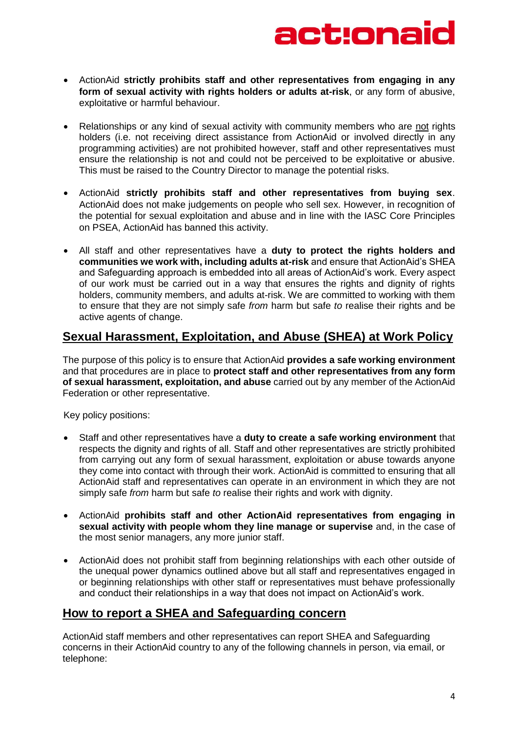

- ActionAid **strictly prohibits staff and other representatives from engaging in any form of sexual activity with rights holders or adults at-risk**, or any form of abusive, exploitative or harmful behaviour.
- Relationships or any kind of sexual activity with community members who are not rights holders (i.e. not receiving direct assistance from ActionAid or involved directly in any programming activities) are not prohibited however, staff and other representatives must ensure the relationship is not and could not be perceived to be exploitative or abusive. This must be raised to the Country Director to manage the potential risks.
- ActionAid **strictly prohibits staff and other representatives from buying sex**. ActionAid does not make judgements on people who sell sex. However, in recognition of the potential for sexual exploitation and abuse and in line with the IASC Core Principles on PSEA, ActionAid has banned this activity.
- All staff and other representatives have a **duty to protect the rights holders and communities we work with, including adults at-risk** and ensure that ActionAid's SHEA and Safeguarding approach is embedded into all areas of ActionAid's work. Every aspect of our work must be carried out in a way that ensures the rights and dignity of rights holders, community members, and adults at-risk. We are committed to working with them to ensure that they are not simply safe *from* harm but safe *to* realise their rights and be active agents of change.

### **Sexual Harassment, Exploitation, and Abuse (SHEA) at Work Policy**

The purpose of this policy is to ensure that ActionAid **provides a safe working environment** and that procedures are in place to **protect staff and other representatives from any form of sexual harassment, exploitation, and abuse** carried out by any member of the ActionAid Federation or other representative.

Key policy positions:

- Staff and other representatives have a **duty to create a safe working environment** that respects the dignity and rights of all. Staff and other representatives are strictly prohibited from carrying out any form of sexual harassment, exploitation or abuse towards anyone they come into contact with through their work. ActionAid is committed to ensuring that all ActionAid staff and representatives can operate in an environment in which they are not simply safe *from* harm but safe *to* realise their rights and work with dignity.
- ActionAid **prohibits staff and other ActionAid representatives from engaging in sexual activity with people whom they line manage or supervise** and, in the case of the most senior managers, any more junior staff.
- ActionAid does not prohibit staff from beginning relationships with each other outside of the unequal power dynamics outlined above but all staff and representatives engaged in or beginning relationships with other staff or representatives must behave professionally and conduct their relationships in a way that does not impact on ActionAid's work.

### **How to report a SHEA and Safeguarding concern**

ActionAid staff members and other representatives can report SHEA and Safeguarding concerns in their ActionAid country to any of the following channels in person, via email, or telephone: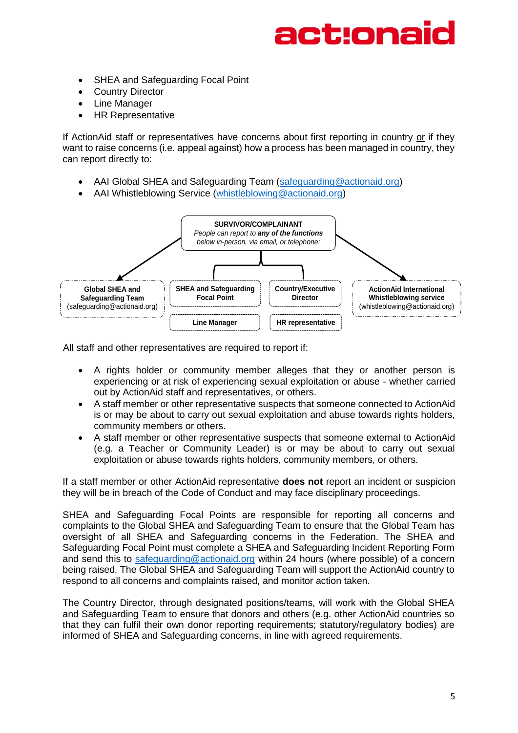## ct:ona

- SHEA and Safeguarding Focal Point
- Country Director
- Line Manager
- HR Representative

If ActionAid staff or representatives have concerns about first reporting in country or if they want to raise concerns (i.e. appeal against) how a process has been managed in country, they can report directly to:

- AAI Global SHEA and Safeguarding Team [\(safeguarding@actionaid.org\)](mailto:safeguarding@actionaid.org)
- AAI Whistleblowing Service [\(whistleblowing@actionaid.org\)](mailto:whistleblowing@actionaid.org)



All staff and other representatives are required to report if:

- A rights holder or community member alleges that they or another person is experiencing or at risk of experiencing sexual exploitation or abuse - whether carried out by ActionAid staff and representatives, or others.
- A staff member or other representative suspects that someone connected to ActionAid is or may be about to carry out sexual exploitation and abuse towards rights holders, community members or others.
- A staff member or other representative suspects that someone external to ActionAid (e.g. a Teacher or Community Leader) is or may be about to carry out sexual exploitation or abuse towards rights holders, community members, or others.

If a staff member or other ActionAid representative **does not** report an incident or suspicion they will be in breach of the Code of Conduct and may face disciplinary proceedings.

SHEA and Safeguarding Focal Points are responsible for reporting all concerns and complaints to the Global SHEA and Safeguarding Team to ensure that the Global Team has oversight of all SHEA and Safeguarding concerns in the Federation. The SHEA and Safeguarding Focal Point must complete a SHEA and Safeguarding Incident Reporting Form and send this to [safeguarding@actionaid.org](mailto:safeguarding@actionaid.org) within 24 hours (where possible) of a concern being raised. The Global SHEA and Safeguarding Team will support the ActionAid country to respond to all concerns and complaints raised, and monitor action taken.

The Country Director, through designated positions/teams, will work with the Global SHEA and Safeguarding Team to ensure that donors and others (e.g. other ActionAid countries so that they can fulfil their own donor reporting requirements; statutory/regulatory bodies) are informed of SHEA and Safeguarding concerns, in line with agreed requirements.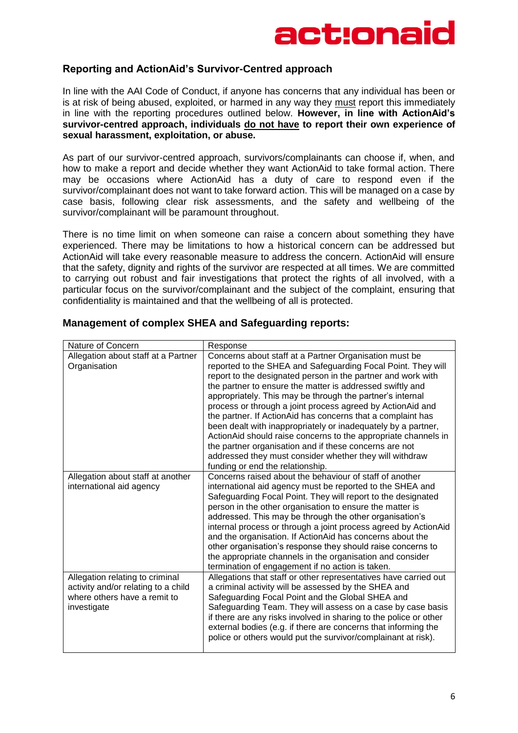#### **Reporting and ActionAid's Survivor-Centred approach**

In line with the AAI Code of Conduct, if anyone has concerns that any individual has been or is at risk of being abused, exploited, or harmed in any way they must report this immediately in line with the reporting procedures outlined below. **However, in line with ActionAid's survivor-centred approach, individuals do not have to report their own experience of sexual harassment, exploitation, or abuse.**

As part of our survivor-centred approach, survivors/complainants can choose if, when, and how to make a report and decide whether they want ActionAid to take formal action. There may be occasions where ActionAid has a duty of care to respond even if the survivor/complainant does not want to take forward action. This will be managed on a case by case basis, following clear risk assessments, and the safety and wellbeing of the survivor/complainant will be paramount throughout.

There is no time limit on when someone can raise a concern about something they have experienced. There may be limitations to how a historical concern can be addressed but ActionAid will take every reasonable measure to address the concern. ActionAid will ensure that the safety, dignity and rights of the survivor are respected at all times. We are committed to carrying out robust and fair investigations that protect the rights of all involved, with a particular focus on the survivor/complainant and the subject of the complaint, ensuring that confidentiality is maintained and that the wellbeing of all is protected.

| Nature of Concern                                                                                                     | Response                                                                                                                                                                                                                                                                                                                                                                                                                                                                                                                                                                                                                                                                                                                                  |
|-----------------------------------------------------------------------------------------------------------------------|-------------------------------------------------------------------------------------------------------------------------------------------------------------------------------------------------------------------------------------------------------------------------------------------------------------------------------------------------------------------------------------------------------------------------------------------------------------------------------------------------------------------------------------------------------------------------------------------------------------------------------------------------------------------------------------------------------------------------------------------|
| Allegation about staff at a Partner<br>Organisation                                                                   | Concerns about staff at a Partner Organisation must be<br>reported to the SHEA and Safeguarding Focal Point. They will<br>report to the designated person in the partner and work with<br>the partner to ensure the matter is addressed swiftly and<br>appropriately. This may be through the partner's internal<br>process or through a joint process agreed by ActionAid and<br>the partner. If ActionAid has concerns that a complaint has<br>been dealt with inappropriately or inadequately by a partner,<br>ActionAid should raise concerns to the appropriate channels in<br>the partner organisation and if these concerns are not<br>addressed they must consider whether they will withdraw<br>funding or end the relationship. |
| Allegation about staff at another<br>international aid agency                                                         | Concerns raised about the behaviour of staff of another<br>international aid agency must be reported to the SHEA and<br>Safeguarding Focal Point. They will report to the designated<br>person in the other organisation to ensure the matter is<br>addressed. This may be through the other organisation's<br>internal process or through a joint process agreed by ActionAid<br>and the organisation. If ActionAid has concerns about the<br>other organisation's response they should raise concerns to<br>the appropriate channels in the organisation and consider<br>termination of engagement if no action is taken.                                                                                                               |
| Allegation relating to criminal<br>activity and/or relating to a child<br>where others have a remit to<br>investigate | Allegations that staff or other representatives have carried out<br>a criminal activity will be assessed by the SHEA and<br>Safeguarding Focal Point and the Global SHEA and<br>Safeguarding Team. They will assess on a case by case basis<br>if there are any risks involved in sharing to the police or other<br>external bodies (e.g. if there are concerns that informing the<br>police or others would put the survivor/complainant at risk).                                                                                                                                                                                                                                                                                       |

#### **Management of complex SHEA and Safeguarding reports:**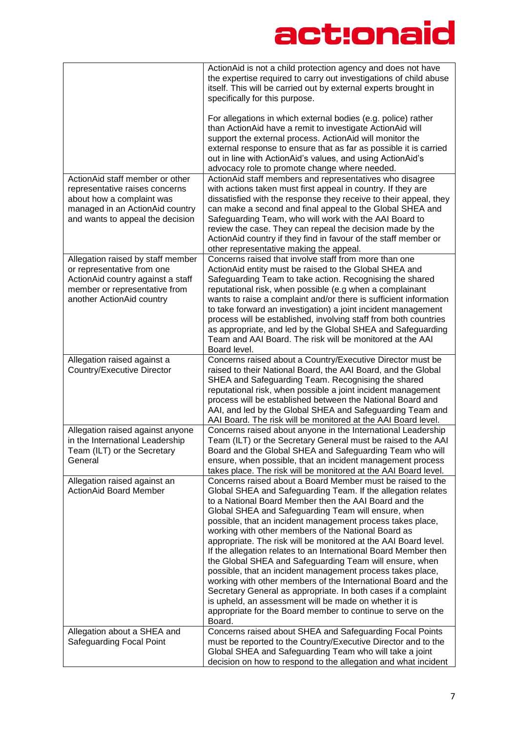|                                                                                                                                                                       | ActionAid is not a child protection agency and does not have<br>the expertise required to carry out investigations of child abuse<br>itself. This will be carried out by external experts brought in<br>specifically for this purpose.<br>For allegations in which external bodies (e.g. police) rather<br>than ActionAid have a remit to investigate ActionAid will<br>support the external process. ActionAid will monitor the<br>external response to ensure that as far as possible it is carried<br>out in line with ActionAid's values, and using ActionAid's                                                                                                                                                                                                                                                                                                                                   |
|-----------------------------------------------------------------------------------------------------------------------------------------------------------------------|-------------------------------------------------------------------------------------------------------------------------------------------------------------------------------------------------------------------------------------------------------------------------------------------------------------------------------------------------------------------------------------------------------------------------------------------------------------------------------------------------------------------------------------------------------------------------------------------------------------------------------------------------------------------------------------------------------------------------------------------------------------------------------------------------------------------------------------------------------------------------------------------------------|
|                                                                                                                                                                       | advocacy role to promote change where needed.                                                                                                                                                                                                                                                                                                                                                                                                                                                                                                                                                                                                                                                                                                                                                                                                                                                         |
| ActionAid staff member or other<br>representative raises concerns<br>about how a complaint was<br>managed in an ActionAid country<br>and wants to appeal the decision | ActionAid staff members and representatives who disagree<br>with actions taken must first appeal in country. If they are<br>dissatisfied with the response they receive to their appeal, they<br>can make a second and final appeal to the Global SHEA and<br>Safeguarding Team, who will work with the AAI Board to<br>review the case. They can repeal the decision made by the<br>ActionAid country if they find in favour of the staff member or<br>other representative making the appeal.                                                                                                                                                                                                                                                                                                                                                                                                       |
| Allegation raised by staff member<br>or representative from one<br>ActionAid country against a staff<br>member or representative from<br>another ActionAid country    | Concerns raised that involve staff from more than one<br>ActionAid entity must be raised to the Global SHEA and<br>Safeguarding Team to take action. Recognising the shared<br>reputational risk, when possible (e.g when a complainant<br>wants to raise a complaint and/or there is sufficient information<br>to take forward an investigation) a joint incident management<br>process will be established, involving staff from both countries<br>as appropriate, and led by the Global SHEA and Safeguarding<br>Team and AAI Board. The risk will be monitored at the AAI<br>Board level.                                                                                                                                                                                                                                                                                                         |
| Allegation raised against a<br>Country/Executive Director                                                                                                             | Concerns raised about a Country/Executive Director must be<br>raised to their National Board, the AAI Board, and the Global<br>SHEA and Safeguarding Team. Recognising the shared<br>reputational risk, when possible a joint incident management<br>process will be established between the National Board and<br>AAI, and led by the Global SHEA and Safeguarding Team and<br>AAI Board. The risk will be monitored at the AAI Board level.                                                                                                                                                                                                                                                                                                                                                                                                                                                         |
| Allegation raised against anyone<br>in the International Leadership<br>Team (ILT) or the Secretary<br>General                                                         | Concerns raised about anyone in the International Leadership<br>Team (ILT) or the Secretary General must be raised to the AAI<br>Board and the Global SHEA and Safeguarding Team who will<br>ensure, when possible, that an incident management process<br>takes place. The risk will be monitored at the AAI Board level.                                                                                                                                                                                                                                                                                                                                                                                                                                                                                                                                                                            |
| Allegation raised against an<br><b>ActionAid Board Member</b>                                                                                                         | Concerns raised about a Board Member must be raised to the<br>Global SHEA and Safeguarding Team. If the allegation relates<br>to a National Board Member then the AAI Board and the<br>Global SHEA and Safeguarding Team will ensure, when<br>possible, that an incident management process takes place,<br>working with other members of the National Board as<br>appropriate. The risk will be monitored at the AAI Board level.<br>If the allegation relates to an International Board Member then<br>the Global SHEA and Safeguarding Team will ensure, when<br>possible, that an incident management process takes place,<br>working with other members of the International Board and the<br>Secretary General as appropriate. In both cases if a complaint<br>is upheld, an assessment will be made on whether it is<br>appropriate for the Board member to continue to serve on the<br>Board. |
| Allegation about a SHEA and<br>Safeguarding Focal Point                                                                                                               | Concerns raised about SHEA and Safeguarding Focal Points<br>must be reported to the Country/Executive Director and to the<br>Global SHEA and Safeguarding Team who will take a joint<br>decision on how to respond to the allegation and what incident                                                                                                                                                                                                                                                                                                                                                                                                                                                                                                                                                                                                                                                |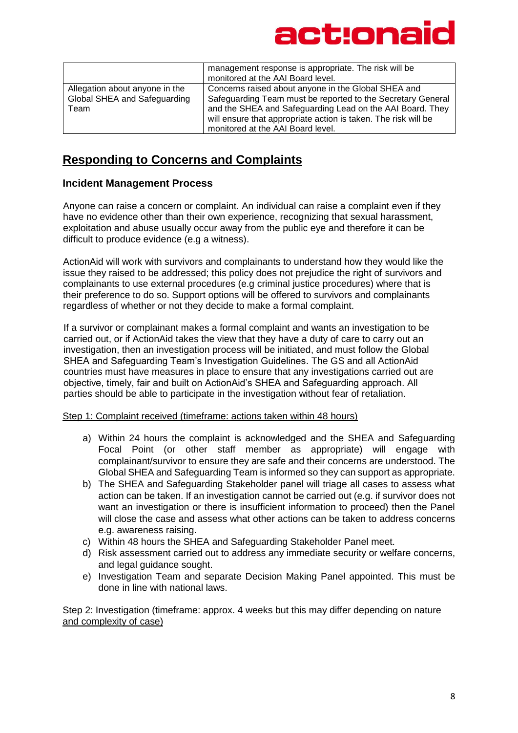

|                                                                        | management response is appropriate. The risk will be<br>monitored at the AAI Board level.                                                                                                                                                                                              |
|------------------------------------------------------------------------|----------------------------------------------------------------------------------------------------------------------------------------------------------------------------------------------------------------------------------------------------------------------------------------|
| Allegation about anyone in the<br>Global SHEA and Safeguarding<br>Team | Concerns raised about anyone in the Global SHEA and<br>Safeguarding Team must be reported to the Secretary General<br>and the SHEA and Safeguarding Lead on the AAI Board. They<br>will ensure that appropriate action is taken. The risk will be<br>monitored at the AAI Board level. |

## **Responding to Concerns and Complaints**

#### **Incident Management Process**

Anyone can raise a concern or complaint. An individual can raise a complaint even if they have no evidence other than their own experience, recognizing that sexual harassment, exploitation and abuse usually occur away from the public eye and therefore it can be difficult to produce evidence (e.g a witness).

ActionAid will work with survivors and complainants to understand how they would like the issue they raised to be addressed; this policy does not prejudice the right of survivors and complainants to use external procedures (e.g criminal justice procedures) where that is their preference to do so. Support options will be offered to survivors and complainants regardless of whether or not they decide to make a formal complaint.

If a survivor or complainant makes a formal complaint and wants an investigation to be carried out, or if ActionAid takes the view that they have a duty of care to carry out an investigation, then an investigation process will be initiated, and must follow the Global SHEA and Safeguarding Team's Investigation Guidelines. The GS and all ActionAid countries must have measures in place to ensure that any investigations carried out are objective, timely, fair and built on ActionAid's SHEA and Safeguarding approach. All parties should be able to participate in the investigation without fear of retaliation.

Step 1: Complaint received (timeframe: actions taken within 48 hours)

- a) Within 24 hours the complaint is acknowledged and the SHEA and Safeguarding Focal Point (or other staff member as appropriate) will engage with complainant/survivor to ensure they are safe and their concerns are understood. The Global SHEA and Safeguarding Team is informed so they can support as appropriate.
- b) The SHEA and Safeguarding Stakeholder panel will triage all cases to assess what action can be taken. If an investigation cannot be carried out (e.g. if survivor does not want an investigation or there is insufficient information to proceed) then the Panel will close the case and assess what other actions can be taken to address concerns e.g. awareness raising.
- c) Within 48 hours the SHEA and Safeguarding Stakeholder Panel meet.
- d) Risk assessment carried out to address any immediate security or welfare concerns, and legal guidance sought.
- e) Investigation Team and separate Decision Making Panel appointed. This must be done in line with national laws.

Step 2: Investigation (timeframe: approx. 4 weeks but this may differ depending on nature and complexity of case)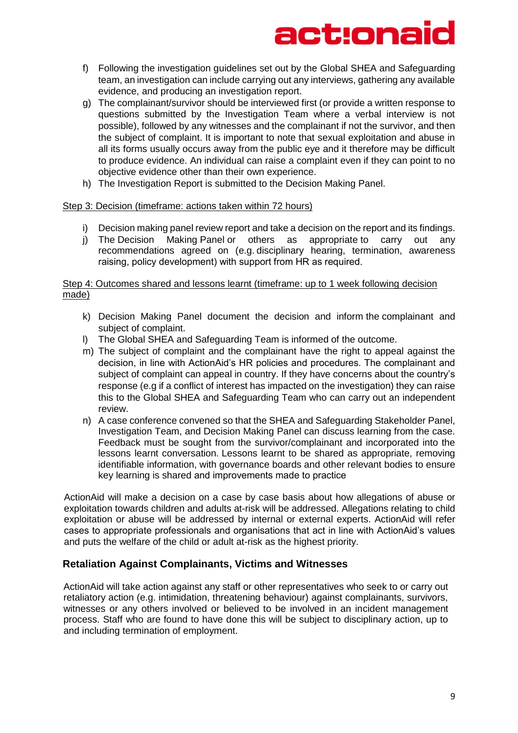- f) Following the investigation guidelines set out by the Global SHEA and Safeguarding team, an investigation can include carrying out any interviews, gathering any available evidence, and producing an investigation report.
- g) The complainant/survivor should be interviewed first (or provide a written response to questions submitted by the Investigation Team where a verbal interview is not possible), followed by any witnesses and the complainant if not the survivor, and then the subject of complaint. It is important to note that sexual exploitation and abuse in all its forms usually occurs away from the public eye and it therefore may be difficult to produce evidence. An individual can raise a complaint even if they can point to no objective evidence other than their own experience.
- h) The Investigation Report is submitted to the Decision Making Panel.

#### Step 3: Decision (timeframe: actions taken within 72 hours)

- i) Decision making panel review report and take a decision on the report and its findings.
- j) The Decision Making Panel or others as appropriate to carry out any recommendations agreed on (e.g. disciplinary hearing, termination, awareness raising, policy development) with support from HR as required.

#### Step 4: Outcomes shared and lessons learnt (timeframe: up to 1 week following decision made)

- k) Decision Making Panel document the decision and inform the complainant and subject of complaint.
- l) The Global SHEA and Safeguarding Team is informed of the outcome.
- m) The subject of complaint and the complainant have the right to appeal against the decision, in line with ActionAid's HR policies and procedures. The complainant and subject of complaint can appeal in country. If they have concerns about the country's response (e.g if a conflict of interest has impacted on the investigation) they can raise this to the Global SHEA and Safeguarding Team who can carry out an independent review.
- n) A case conference convened so that the SHEA and Safeguarding Stakeholder Panel, Investigation Team, and Decision Making Panel can discuss learning from the case. Feedback must be sought from the survivor/complainant and incorporated into the lessons learnt conversation. Lessons learnt to be shared as appropriate, removing identifiable information, with governance boards and other relevant bodies to ensure key learning is shared and improvements made to practice

ActionAid will make a decision on a case by case basis about how allegations of abuse or exploitation towards children and adults at-risk will be addressed. Allegations relating to child exploitation or abuse will be addressed by internal or external experts. ActionAid will refer cases to appropriate professionals and organisations that act in line with ActionAid's values and puts the welfare of the child or adult at-risk as the highest priority.

#### **Retaliation Against Complainants, Victims and Witnesses**

ActionAid will take action against any staff or other representatives who seek to or carry out retaliatory action (e.g. intimidation, threatening behaviour) against complainants, survivors, witnesses or any others involved or believed to be involved in an incident management process. Staff who are found to have done this will be subject to disciplinary action, up to and including termination of employment.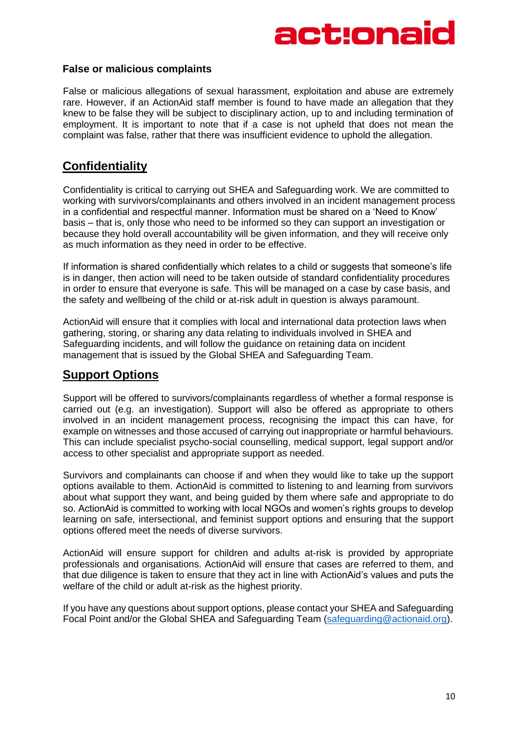## ct:ona

#### **False or malicious complaints**

False or malicious allegations of sexual harassment, exploitation and abuse are extremely rare. However, if an ActionAid staff member is found to have made an allegation that they knew to be false they will be subject to disciplinary action, up to and including termination of employment. It is important to note that if a case is not upheld that does not mean the complaint was false, rather that there was insufficient evidence to uphold the allegation.

### **Confidentiality**

Confidentiality is critical to carrying out SHEA and Safeguarding work. We are committed to working with survivors/complainants and others involved in an incident management process in a confidential and respectful manner. Information must be shared on a 'Need to Know' basis – that is, only those who need to be informed so they can support an investigation or because they hold overall accountability will be given information, and they will receive only as much information as they need in order to be effective.

If information is shared confidentially which relates to a child or suggests that someone's life is in danger, then action will need to be taken outside of standard confidentiality procedures in order to ensure that everyone is safe. This will be managed on a case by case basis, and the safety and wellbeing of the child or at-risk adult in question is always paramount.

ActionAid will ensure that it complies with local and international data protection laws when gathering, storing, or sharing any data relating to individuals involved in SHEA and Safeguarding incidents, and will follow the guidance on retaining data on incident management that is issued by the Global SHEA and Safeguarding Team.

### **Support Options**

Support will be offered to survivors/complainants regardless of whether a formal response is carried out (e.g. an investigation). Support will also be offered as appropriate to others involved in an incident management process, recognising the impact this can have, for example on witnesses and those accused of carrying out inappropriate or harmful behaviours. This can include specialist psycho-social counselling, medical support, legal support and/or access to other specialist and appropriate support as needed.

Survivors and complainants can choose if and when they would like to take up the support options available to them. ActionAid is committed to listening to and learning from survivors about what support they want, and being guided by them where safe and appropriate to do so. ActionAid is committed to working with local NGOs and women's rights groups to develop learning on safe, intersectional, and feminist support options and ensuring that the support options offered meet the needs of diverse survivors.

ActionAid will ensure support for children and adults at-risk is provided by appropriate professionals and organisations. ActionAid will ensure that cases are referred to them, and that due diligence is taken to ensure that they act in line with ActionAid's values and puts the welfare of the child or adult at-risk as the highest priority.

If you have any questions about support options, please contact your SHEA and Safeguarding Focal Point and/or the Global SHEA and Safeguarding Team [\(safeguarding@actionaid.org\)](mailto:safeguarding@actionaid.org).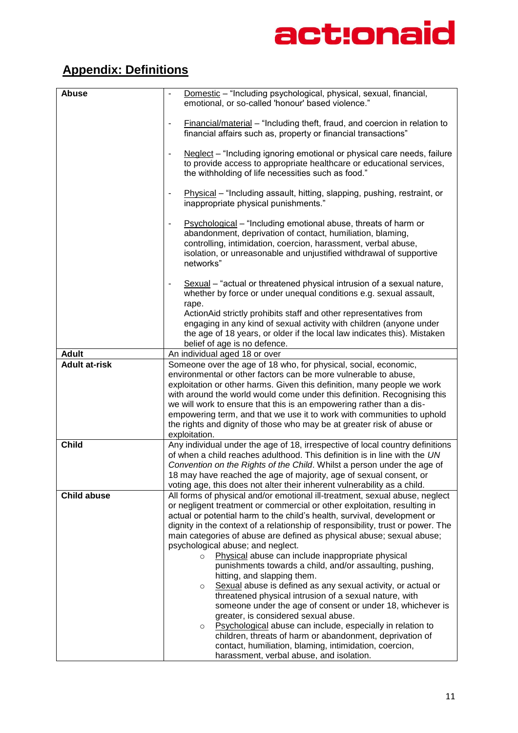## **Appendix: Definitions**

| <b>Abuse</b>         | Domestic - "Including psychological, physical, sexual, financial,<br>emotional, or so-called 'honour' based violence."                                                                                                                                                             |
|----------------------|------------------------------------------------------------------------------------------------------------------------------------------------------------------------------------------------------------------------------------------------------------------------------------|
|                      | Financial/material - "Including theft, fraud, and coercion in relation to<br>financial affairs such as, property or financial transactions"                                                                                                                                        |
|                      | Neglect – "Including ignoring emotional or physical care needs, failure<br>to provide access to appropriate healthcare or educational services,<br>the withholding of life necessities such as food."                                                                              |
|                      | Physical – "Including assault, hitting, slapping, pushing, restraint, or<br>inappropriate physical punishments."                                                                                                                                                                   |
|                      | Psychological - "Including emotional abuse, threats of harm or<br>abandonment, deprivation of contact, humiliation, blaming,<br>controlling, intimidation, coercion, harassment, verbal abuse,<br>isolation, or unreasonable and unjustified withdrawal of supportive<br>networks" |
|                      | Sexual – "actual or threatened physical intrusion of a sexual nature,<br>$\overline{\phantom{a}}$<br>whether by force or under unequal conditions e.g. sexual assault,<br>rape.                                                                                                    |
|                      | ActionAid strictly prohibits staff and other representatives from<br>engaging in any kind of sexual activity with children (anyone under<br>the age of 18 years, or older if the local law indicates this). Mistaken<br>belief of age is no defence.                               |
| <b>Adult</b>         | An individual aged 18 or over                                                                                                                                                                                                                                                      |
| <b>Adult at-risk</b> | Someone over the age of 18 who, for physical, social, economic,                                                                                                                                                                                                                    |
|                      | environmental or other factors can be more vulnerable to abuse,                                                                                                                                                                                                                    |
|                      | exploitation or other harms. Given this definition, many people we work                                                                                                                                                                                                            |
|                      | with around the world would come under this definition. Recognising this<br>we will work to ensure that this is an empowering rather than a dis-                                                                                                                                   |
|                      | empowering term, and that we use it to work with communities to uphold                                                                                                                                                                                                             |
|                      | the rights and dignity of those who may be at greater risk of abuse or                                                                                                                                                                                                             |
|                      | exploitation.                                                                                                                                                                                                                                                                      |
| <b>Child</b>         | Any individual under the age of 18, irrespective of local country definitions                                                                                                                                                                                                      |
|                      | of when a child reaches adulthood. This definition is in line with the UN<br>Convention on the Rights of the Child. Whilst a person under the age of                                                                                                                               |
|                      | 18 may have reached the age of majority, age of sexual consent, or                                                                                                                                                                                                                 |
|                      | voting age, this does not alter their inherent vulnerability as a child.                                                                                                                                                                                                           |
| <b>Child abuse</b>   | All forms of physical and/or emotional ill-treatment, sexual abuse, neglect                                                                                                                                                                                                        |
|                      | or negligent treatment or commercial or other exploitation, resulting in<br>actual or potential harm to the child's health, survival, development or                                                                                                                               |
|                      | dignity in the context of a relationship of responsibility, trust or power. The                                                                                                                                                                                                    |
|                      | main categories of abuse are defined as physical abuse; sexual abuse;                                                                                                                                                                                                              |
|                      | psychological abuse; and neglect.                                                                                                                                                                                                                                                  |
|                      | Physical abuse can include inappropriate physical<br>$\circ$                                                                                                                                                                                                                       |
|                      | punishments towards a child, and/or assaulting, pushing,<br>hitting, and slapping them.                                                                                                                                                                                            |
|                      | Sexual abuse is defined as any sexual activity, or actual or<br>$\circ$                                                                                                                                                                                                            |
|                      | threatened physical intrusion of a sexual nature, with                                                                                                                                                                                                                             |
|                      | someone under the age of consent or under 18, whichever is                                                                                                                                                                                                                         |
|                      | greater, is considered sexual abuse.                                                                                                                                                                                                                                               |
|                      | Psychological abuse can include, especially in relation to<br>$\circ$<br>children, threats of harm or abandonment, deprivation of                                                                                                                                                  |
|                      | contact, humiliation, blaming, intimidation, coercion,                                                                                                                                                                                                                             |
|                      | harassment, verbal abuse, and isolation.                                                                                                                                                                                                                                           |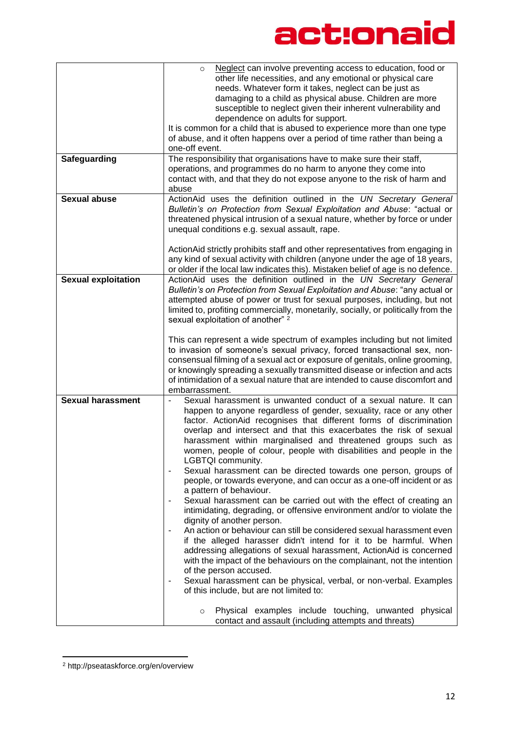|                            | Neglect can involve preventing access to education, food or<br>$\circ$                         |
|----------------------------|------------------------------------------------------------------------------------------------|
|                            | other life necessities, and any emotional or physical care                                     |
|                            | needs. Whatever form it takes, neglect can be just as                                          |
|                            | damaging to a child as physical abuse. Children are more                                       |
|                            | susceptible to neglect given their inherent vulnerability and                                  |
|                            | dependence on adults for support.                                                              |
|                            | It is common for a child that is abused to experience more than one type                       |
|                            | of abuse, and it often happens over a period of time rather than being a                       |
|                            | one-off event.                                                                                 |
| Safeguarding               | The responsibility that organisations have to make sure their staff,                           |
|                            | operations, and programmes do no harm to anyone they come into                                 |
|                            | contact with, and that they do not expose anyone to the risk of harm and                       |
|                            | abuse                                                                                          |
| <b>Sexual abuse</b>        | ActionAid uses the definition outlined in the UN Secretary General                             |
|                            | Bulletin's on Protection from Sexual Exploitation and Abuse: "actual or                        |
|                            | threatened physical intrusion of a sexual nature, whether by force or under                    |
|                            | unequal conditions e.g. sexual assault, rape.                                                  |
|                            | ActionAid strictly prohibits staff and other representatives from engaging in                  |
|                            | any kind of sexual activity with children (anyone under the age of 18 years,                   |
|                            | or older if the local law indicates this). Mistaken belief of age is no defence.               |
| <b>Sexual exploitation</b> | ActionAid uses the definition outlined in the UN Secretary General                             |
|                            | Bulletin's on Protection from Sexual Exploitation and Abuse: "any actual or                    |
|                            | attempted abuse of power or trust for sexual purposes, including, but not                      |
|                            | limited to, profiting commercially, monetarily, socially, or politically from the              |
|                            | sexual exploitation of another" 2                                                              |
|                            |                                                                                                |
|                            | This can represent a wide spectrum of examples including but not limited                       |
|                            | to invasion of someone's sexual privacy, forced transactional sex, non-                        |
|                            | consensual filming of a sexual act or exposure of genitals, online grooming,                   |
|                            | or knowingly spreading a sexually transmitted disease or infection and acts                    |
|                            | of intimidation of a sexual nature that are intended to cause discomfort and                   |
|                            | embarrassment.                                                                                 |
| <b>Sexual harassment</b>   | Sexual harassment is unwanted conduct of a sexual nature. It can<br>$\overline{\phantom{a}}$   |
|                            | happen to anyone regardless of gender, sexuality, race or any other                            |
|                            | factor. ActionAid recognises that different forms of discrimination                            |
|                            | overlap and intersect and that this exacerbates the risk of sexual                             |
|                            | harassment within marginalised and threatened groups such as                                   |
|                            | women, people of colour, people with disabilities and people in the                            |
|                            | LGBTQI community.                                                                              |
|                            | Sexual harassment can be directed towards one person, groups of                                |
|                            | people, or towards everyone, and can occur as a one-off incident or as                         |
|                            | a pattern of behaviour.                                                                        |
|                            | Sexual harassment can be carried out with the effect of creating an                            |
|                            | intimidating, degrading, or offensive environment and/or to violate the                        |
|                            | dignity of another person.                                                                     |
|                            | An action or behaviour can still be considered sexual harassment even                          |
|                            | if the alleged harasser didn't intend for it to be harmful. When                               |
|                            | addressing allegations of sexual harassment, ActionAid is concerned                            |
|                            | with the impact of the behaviours on the complainant, not the intention                        |
|                            | of the person accused.                                                                         |
|                            | Sexual harassment can be physical, verbal, or non-verbal. Examples<br>$\overline{\phantom{a}}$ |
|                            | of this include, but are not limited to:                                                       |
|                            |                                                                                                |
|                            | Physical examples include touching, unwanted physical<br>$\circ$                               |
|                            | contact and assault (including attempts and threats)                                           |

<sup>2</sup> http://pseataskforce.org/en/overview

1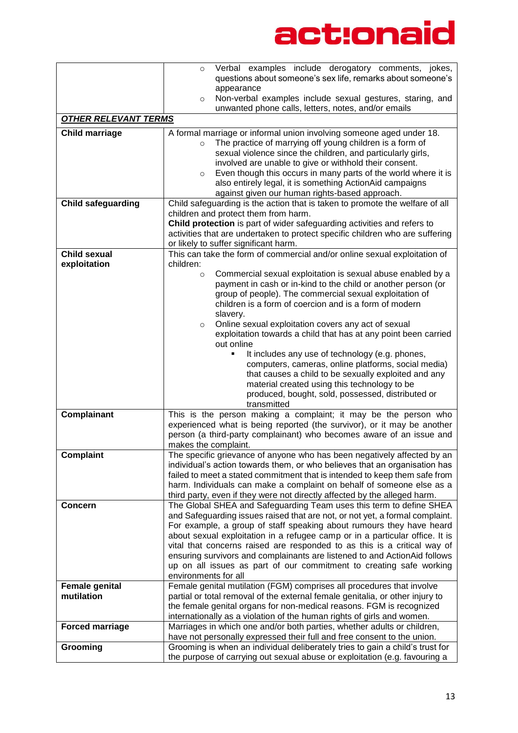|                             | Verbal examples include derogatory comments, jokes,<br>$\circ$<br>questions about someone's sex life, remarks about someone's                            |
|-----------------------------|----------------------------------------------------------------------------------------------------------------------------------------------------------|
|                             | appearance                                                                                                                                               |
|                             | Non-verbal examples include sexual gestures, staring, and<br>$\circ$                                                                                     |
|                             | unwanted phone calls, letters, notes, and/or emails                                                                                                      |
| <b>OTHER RELEVANT TERMS</b> |                                                                                                                                                          |
| <b>Child marriage</b>       | A formal marriage or informal union involving someone aged under 18.                                                                                     |
|                             | The practice of marrying off young children is a form of<br>$\circ$                                                                                      |
|                             | sexual violence since the children, and particularly girls,                                                                                              |
|                             | involved are unable to give or withhold their consent.                                                                                                   |
|                             | Even though this occurs in many parts of the world where it is<br>$\circ$                                                                                |
|                             | also entirely legal, it is something ActionAid campaigns                                                                                                 |
|                             | against given our human rights-based approach.                                                                                                           |
| <b>Child safeguarding</b>   | Child safeguarding is the action that is taken to promote the welfare of all                                                                             |
|                             | children and protect them from harm.                                                                                                                     |
|                             | Child protection is part of wider safeguarding activities and refers to<br>activities that are undertaken to protect specific children who are suffering |
|                             | or likely to suffer significant harm.                                                                                                                    |
| <b>Child sexual</b>         | This can take the form of commercial and/or online sexual exploitation of                                                                                |
| exploitation                | children:                                                                                                                                                |
|                             | Commercial sexual exploitation is sexual abuse enabled by a<br>$\circ$                                                                                   |
|                             | payment in cash or in-kind to the child or another person (or                                                                                            |
|                             | group of people). The commercial sexual exploitation of                                                                                                  |
|                             | children is a form of coercion and is a form of modern                                                                                                   |
|                             | slavery.                                                                                                                                                 |
|                             | Online sexual exploitation covers any act of sexual<br>$\circ$                                                                                           |
|                             | exploitation towards a child that has at any point been carried                                                                                          |
|                             | out online<br>It includes any use of technology (e.g. phones,<br>$\blacksquare$                                                                          |
|                             | computers, cameras, online platforms, social media)                                                                                                      |
|                             | that causes a child to be sexually exploited and any                                                                                                     |
|                             | material created using this technology to be                                                                                                             |
|                             | produced, bought, sold, possessed, distributed or                                                                                                        |
|                             | transmitted                                                                                                                                              |
| Complainant                 | This is the person making a complaint; it may be the person who                                                                                          |
|                             | experienced what is being reported (the survivor), or it may be another                                                                                  |
|                             | person (a third-party complainant) who becomes aware of an issue and                                                                                     |
|                             | makes the complaint.                                                                                                                                     |
| Complaint                   | The specific grievance of anyone who has been negatively affected by an<br>individual's action towards them, or who believes that an organisation has    |
|                             | failed to meet a stated commitment that is intended to keep them safe from                                                                               |
|                             | harm. Individuals can make a complaint on behalf of someone else as a                                                                                    |
|                             | third party, even if they were not directly affected by the alleged harm.                                                                                |
| <b>Concern</b>              | The Global SHEA and Safeguarding Team uses this term to define SHEA                                                                                      |
|                             | and Safeguarding issues raised that are not, or not yet, a formal complaint.                                                                             |
|                             | For example, a group of staff speaking about rumours they have heard                                                                                     |
|                             | about sexual exploitation in a refugee camp or in a particular office. It is                                                                             |
|                             | vital that concerns raised are responded to as this is a critical way of                                                                                 |
|                             | ensuring survivors and complainants are listened to and ActionAid follows                                                                                |
|                             | up on all issues as part of our commitment to creating safe working                                                                                      |
| <b>Female genital</b>       | environments for all<br>Female genital mutilation (FGM) comprises all procedures that involve                                                            |
| mutilation                  | partial or total removal of the external female genitalia, or other injury to                                                                            |
|                             | the female genital organs for non-medical reasons. FGM is recognized                                                                                     |
|                             | internationally as a violation of the human rights of girls and women.                                                                                   |
| <b>Forced marriage</b>      | Marriages in which one and/or both parties, whether adults or children,                                                                                  |
|                             | have not personally expressed their full and free consent to the union.                                                                                  |
| Grooming                    | Grooming is when an individual deliberately tries to gain a child's trust for                                                                            |
|                             | the purpose of carrying out sexual abuse or exploitation (e.g. favouring a                                                                               |